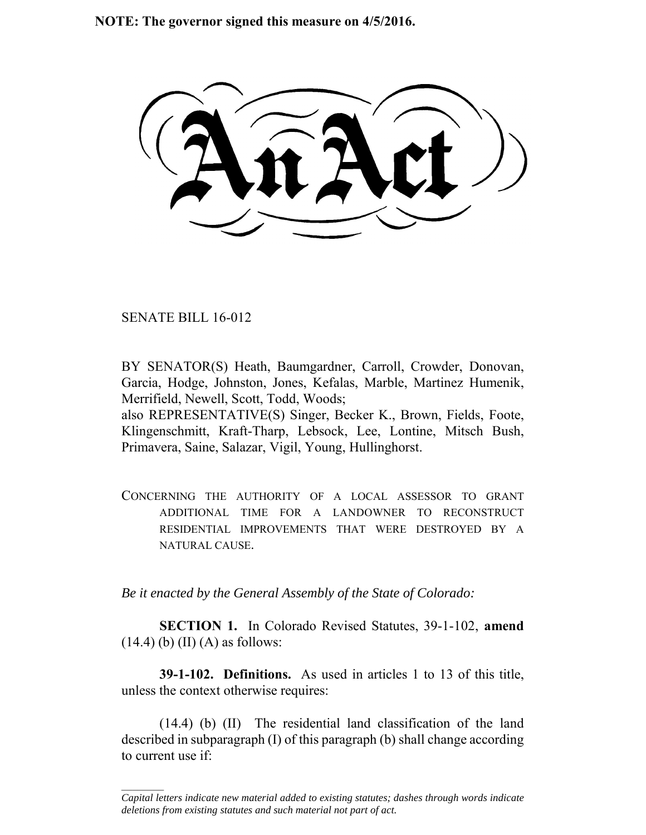**NOTE: The governor signed this measure on 4/5/2016.**

SENATE BILL 16-012

 $\frac{1}{2}$ 

BY SENATOR(S) Heath, Baumgardner, Carroll, Crowder, Donovan, Garcia, Hodge, Johnston, Jones, Kefalas, Marble, Martinez Humenik, Merrifield, Newell, Scott, Todd, Woods;

also REPRESENTATIVE(S) Singer, Becker K., Brown, Fields, Foote, Klingenschmitt, Kraft-Tharp, Lebsock, Lee, Lontine, Mitsch Bush, Primavera, Saine, Salazar, Vigil, Young, Hullinghorst.

CONCERNING THE AUTHORITY OF A LOCAL ASSESSOR TO GRANT ADDITIONAL TIME FOR A LANDOWNER TO RECONSTRUCT RESIDENTIAL IMPROVEMENTS THAT WERE DESTROYED BY A NATURAL CAUSE.

*Be it enacted by the General Assembly of the State of Colorado:*

**SECTION 1.** In Colorado Revised Statutes, 39-1-102, **amend**  $(14.4)$  (b) (II) (A) as follows:

**39-1-102. Definitions.** As used in articles 1 to 13 of this title, unless the context otherwise requires:

(14.4) (b) (II) The residential land classification of the land described in subparagraph (I) of this paragraph (b) shall change according to current use if:

*Capital letters indicate new material added to existing statutes; dashes through words indicate deletions from existing statutes and such material not part of act.*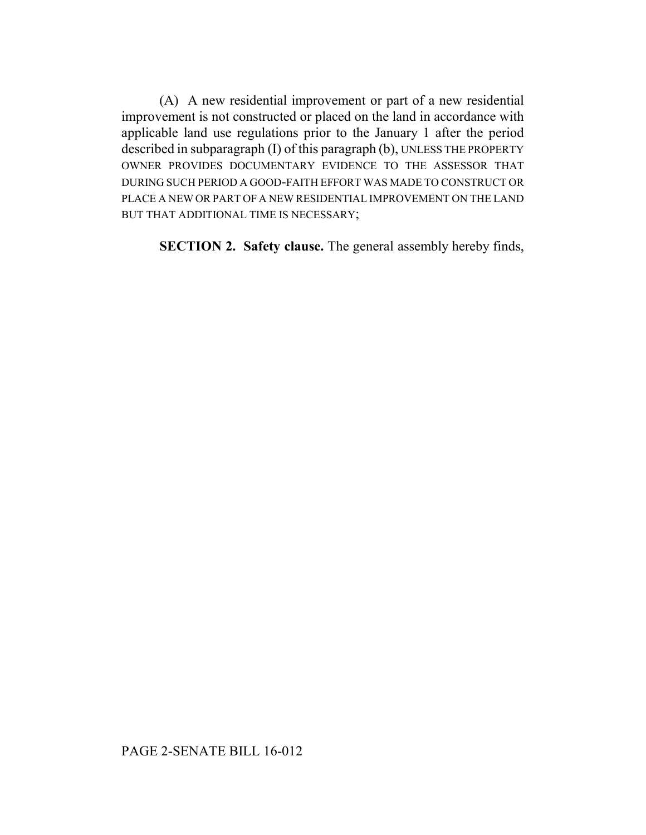(A) A new residential improvement or part of a new residential improvement is not constructed or placed on the land in accordance with applicable land use regulations prior to the January 1 after the period described in subparagraph (I) of this paragraph (b), UNLESS THE PROPERTY OWNER PROVIDES DOCUMENTARY EVIDENCE TO THE ASSESSOR THAT DURING SUCH PERIOD A GOOD-FAITH EFFORT WAS MADE TO CONSTRUCT OR PLACE A NEW OR PART OF A NEW RESIDENTIAL IMPROVEMENT ON THE LAND BUT THAT ADDITIONAL TIME IS NECESSARY;

**SECTION 2. Safety clause.** The general assembly hereby finds,